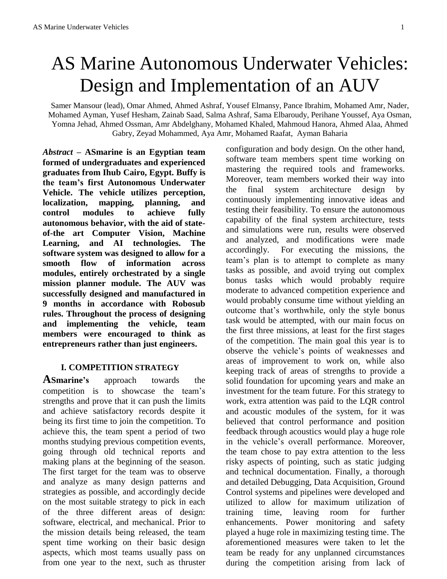# AS Marine Autonomous Underwater Vehicles: Design and Implementation of an AUV

Samer Mansour (lead), Omar Ahmed, Ahmed Ashraf, Yousef Elmansy, Pance Ibrahim, Mohamed Amr, Nader, Mohamed Ayman, Yusef Hesham, Zainab Saad, Salma Ashraf, Sama Elbaroudy, Perihane Youssef, Aya Osman, Yomna Jehad, Ahmed Ossman, Amr Abdelghany, Mohamed Khaled, Mahmoud Hanora, Ahmed Alaa, Ahmed Gabry, Zeyad Mohammed, Aya Amr, Mohamed Raafat, Ayman Baharia

*Abstract –* **ASmarine is an Egyptian team formed of undergraduates and experienced graduates from Ihub Cairo, Egypt. Buffy is the team's first Autonomous Underwater Vehicle. The vehicle utilizes perception, localization, mapping, planning, and control modules to achieve fully autonomous behavior, with the aid of stateof-the art Computer Vision, Machine Learning, and AI technologies. The software system was designed to allow for a smooth flow of information across modules, entirely orchestrated by a single mission planner module. The AUV was successfully designed and manufactured in 9 months in accordance with Robosub rules. Throughout the process of designing and implementing the vehicle, team members were encouraged to think as entrepreneurs rather than just engineers.**

## **I. COMPETITION STRATEGY**

**ASmarine's** approach towards the competition is to showcase the team's strengths and prove that it can push the limits and achieve satisfactory records despite it being its first time to join the competition. To achieve this, the team spent a period of two months studying previous competition events, going through old technical reports and making plans at the beginning of the season. The first target for the team was to observe and analyze as many design patterns and strategies as possible, and accordingly decide on the most suitable strategy to pick in each of the three different areas of design: software, electrical, and mechanical. Prior to the mission details being released, the team spent time working on their basic design aspects, which most teams usually pass on from one year to the next, such as thruster configuration and body design. On the other hand, software team members spent time working on mastering the required tools and frameworks. Moreover, team members worked their way into the final system architecture design by continuously implementing innovative ideas and testing their feasibility. To ensure the autonomous capability of the final system architecture, tests and simulations were run, results were observed and analyzed, and modifications were made accordingly. For executing the missions, the team's plan is to attempt to complete as many tasks as possible, and avoid trying out complex bonus tasks which would probably require moderate to advanced competition experience and would probably consume time without yielding an outcome that's worthwhile, only the style bonus task would be attempted, with our main focus on the first three missions, at least for the first stages of the competition. The main goal this year is to observe the vehicle's points of weaknesses and areas of improvement to work on, while also keeping track of areas of strengths to provide a solid foundation for upcoming years and make an investment for the team future. For this strategy to work, extra attention was paid to the LQR control and acoustic modules of the system, for it was believed that control performance and position feedback through acoustics would play a huge role in the vehicle's overall performance. Moreover, the team chose to pay extra attention to the less risky aspects of pointing, such as static judging and technical documentation. Finally, a thorough and detailed Debugging, Data Acquisition, Ground Control systems and pipelines were developed and utilized to allow for maximum utilization of training time, leaving room for further enhancements. Power monitoring and safety played a huge role in maximizing testing time. The aforementioned measures were taken to let the team be ready for any unplanned circumstances during the competition arising from lack of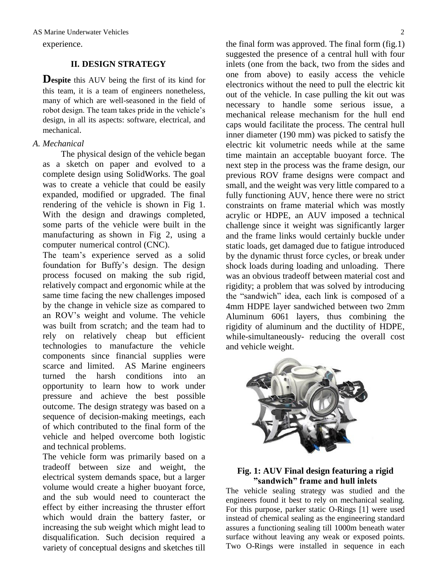experience.

## **II. DESIGN STRATEGY**

**Despite** this AUV being the first of its kind for this team, it is a team of engineers nonetheless, many of which are well-seasoned in the field of robot design. The team takes pride in the vehicle's design, in all its aspects: software, electrical, and mechanical.

## *A. Mechanical*

 The physical design of the vehicle began as a sketch on paper and evolved to a complete design using SolidWorks. The goal was to create a vehicle that could be easily expanded, modified or upgraded. The final rendering of the vehicle is shown in Fig 1. With the design and drawings completed, some parts of the vehicle were built in the manufacturing as shown in Fig 2, using a computer numerical control (CNC).

The team's experience served as a solid foundation for Buffy's design. The design process focused on making the sub rigid, relatively compact and ergonomic while at the same time facing the new challenges imposed by the change in vehicle size as compared to an ROV's weight and volume. The vehicle was built from scratch; and the team had to rely on relatively cheap but efficient technologies to manufacture the vehicle components since financial supplies were scarce and limited. AS Marine engineers turned the harsh conditions into an opportunity to learn how to work under pressure and achieve the best possible outcome. The design strategy was based on a sequence of decision-making meetings, each of which contributed to the final form of the vehicle and helped overcome both logistic and technical problems.

The vehicle form was primarily based on a tradeoff between size and weight, the electrical system demands space, but a larger volume would create a higher buoyant force, and the sub would need to counteract the effect by either increasing the thruster effort which would drain the battery faster, or increasing the sub weight which might lead to disqualification. Such decision required a variety of conceptual designs and sketches till

the final form was approved. The final form (fig.1) suggested the presence of a central hull with four inlets (one from the back, two from the sides and one from above) to easily access the vehicle electronics without the need to pull the electric kit out of the vehicle. In case pulling the kit out was necessary to handle some serious issue, a mechanical release mechanism for the hull end caps would facilitate the process. The central hull inner diameter (190 mm) was picked to satisfy the electric kit volumetric needs while at the same time maintain an acceptable buoyant force. The next step in the process was the frame design, our previous ROV frame designs were compact and small, and the weight was very little compared to a fully functioning AUV, hence there were no strict constraints on frame material which was mostly acrylic or HDPE, an AUV imposed a technical challenge since it weight was significantly larger and the frame links would certainly buckle under static loads, get damaged due to fatigue introduced by the dynamic thrust force cycles, or break under shock loads during loading and unloading. There was an obvious tradeoff between material cost and rigidity; a problem that was solved by introducing the "sandwich" idea, each link is composed of a 4mm HDPE layer sandwiched between two 2mm Aluminum 6061 layers, thus combining the rigidity of aluminum and the ductility of HDPE, while-simultaneously- reducing the overall cost and vehicle weight.



## **Fig. 1: AUV Final design featuring a rigid "sandwich" frame and hull inlets**

The vehicle sealing strategy was studied and the engineers found it best to rely on mechanical sealing. For this purpose, parker static O-Rings [1] were used instead of chemical sealing as the engineering standard assures a functioning sealing till 1000m beneath water surface without leaving any weak or exposed points. Two O-Rings were installed in sequence in each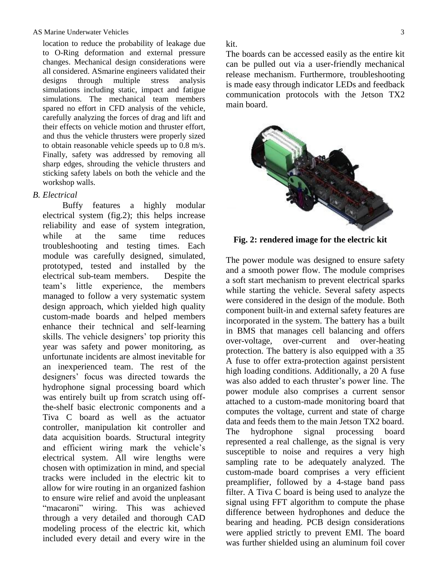#### AS Marine Underwater Vehicles 3

location to reduce the probability of leakage due to O-Ring deformation and external pressure changes. Mechanical design considerations were all considered. ASmarine engineers validated their designs through multiple stress analysis simulations including static, impact and fatigue simulations. The mechanical team members spared no effort in CFD analysis of the vehicle, carefully analyzing the forces of drag and lift and their effects on vehicle motion and thruster effort, and thus the vehicle thrusters were properly sized to obtain reasonable vehicle speeds up to 0.8 m/s. Finally, safety was addressed by removing all sharp edges, shrouding the vehicle thrusters and sticking safety labels on both the vehicle and the workshop walls.

#### *B. Electrical*

 Buffy features a highly modular electrical system (fig.2); this helps increase reliability and ease of system integration, while at the same time reduces troubleshooting and testing times. Each module was carefully designed, simulated, prototyped, tested and installed by the electrical sub-team members. Despite the team's little experience, the members managed to follow a very systematic system design approach, which yielded high quality custom-made boards and helped members enhance their technical and self-learning skills. The vehicle designers' top priority this year was safety and power monitoring, as unfortunate incidents are almost inevitable for an inexperienced team. The rest of the designers' focus was directed towards the hydrophone signal processing board which was entirely built up from scratch using offthe-shelf basic electronic components and a Tiva C board as well as the actuator controller, manipulation kit controller and data acquisition boards. Structural integrity and efficient wiring mark the vehicle's electrical system. All wire lengths were chosen with optimization in mind, and special tracks were included in the electric kit to allow for wire routing in an organized fashion to ensure wire relief and avoid the unpleasant "macaroni" wiring. This was achieved through a very detailed and thorough CAD modeling process of the electric kit, which included every detail and every wire in the kit.

The boards can be accessed easily as the entire kit can be pulled out via a user-friendly mechanical release mechanism. Furthermore, troubleshooting is made easy through indicator LEDs and feedback communication protocols with the Jetson TX2 main board.



**Fig. 2: rendered image for the electric kit**

The power module was designed to ensure safety and a smooth power flow. The module comprises a soft start mechanism to prevent electrical sparks while starting the vehicle. Several safety aspects were considered in the design of the module. Both component built-in and external safety features are incorporated in the system. The battery has a built in BMS that manages cell balancing and offers over-voltage, over-current and over-heating protection. The battery is also equipped with a 35 A fuse to offer extra-protection against persistent high loading conditions. Additionally, a 20 A fuse was also added to each thruster's power line. The power module also comprises a current sensor attached to a custom-made monitoring board that computes the voltage, current and state of charge data and feeds them to the main Jetson TX2 board. The hydrophone signal processing board represented a real challenge, as the signal is very susceptible to noise and requires a very high sampling rate to be adequately analyzed. The custom-made board comprises a very efficient preamplifier, followed by a 4-stage band pass filter. A Tiva C board is being used to analyze the signal using FFT algorithm to compute the phase difference between hydrophones and deduce the bearing and heading. PCB design considerations were applied strictly to prevent EMI. The board was further shielded using an aluminum foil cover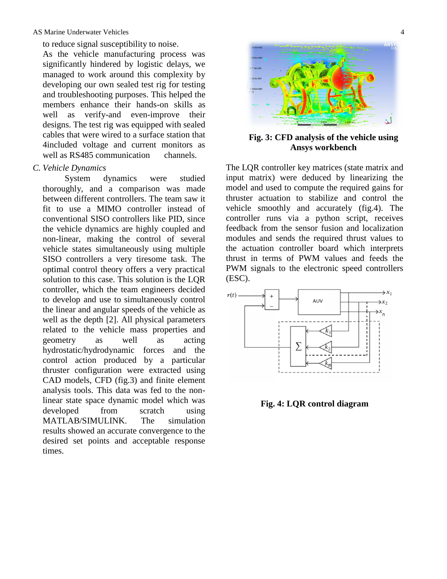#### AS Marine Underwater Vehicles 4

to reduce signal susceptibility to noise.

As the vehicle manufacturing process was significantly hindered by logistic delays, we managed to work around this complexity by developing our own sealed test rig for testing and troubleshooting purposes. This helped the members enhance their hands-on skills as well as verify-and even-improve their designs. The test rig was equipped with sealed cables that were wired to a surface station that 4included voltage and current monitors as well as RS485 communication channels.

#### *C. Vehicle Dynamics*

 System dynamics were studied thoroughly, and a comparison was made between different controllers. The team saw it fit to use a MIMO controller instead of conventional SISO controllers like PID, since the vehicle dynamics are highly coupled and non-linear, making the control of several vehicle states simultaneously using multiple SISO controllers a very tiresome task. The optimal control theory offers a very practical solution to this case. This solution is the LQR controller, which the team engineers decided to develop and use to simultaneously control the linear and angular speeds of the vehicle as well as the depth [2]. All physical parameters related to the vehicle mass properties and geometry as well as acting hydrostatic/hydrodynamic forces and the control action produced by a particular thruster configuration were extracted using CAD models, CFD (fig.3) and finite element analysis tools. This data was fed to the nonlinear state space dynamic model which was developed from scratch using MATLAB/SIMULINK. The simulation results showed an accurate convergence to the desired set points and acceptable response times.



**Fig. 3: CFD analysis of the vehicle using Ansys workbench** 

The LQR controller key matrices (state matrix and input matrix) were deduced by linearizing the model and used to compute the required gains for thruster actuation to stabilize and control the vehicle smoothly and accurately (fig.4). The controller runs via a python script, receives feedback from the sensor fusion and localization modules and sends the required thrust values to the actuation controller board which interprets thrust in terms of PWM values and feeds the PWM signals to the electronic speed controllers (ESC).



**Fig. 4: LQR control diagram**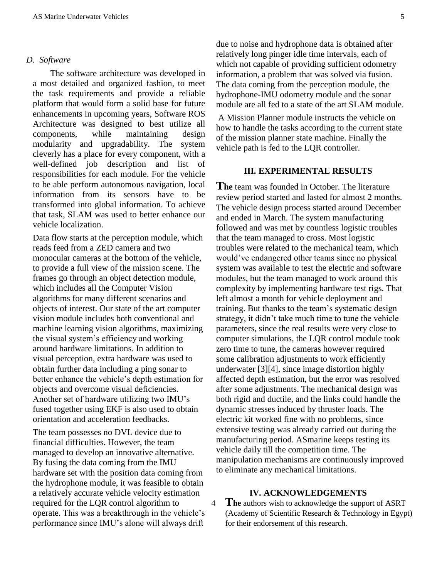#### *D. Software*

 The software architecture was developed in a most detailed and organized fashion, to meet the task requirements and provide a reliable platform that would form a solid base for future enhancements in upcoming years, Software ROS Architecture was designed to best utilize all components, while maintaining design modularity and upgradability. The system cleverly has a place for every component, with a well-defined job description and list of responsibilities for each module. For the vehicle to be able perform autonomous navigation, local information from its sensors have to be transformed into global information. To achieve that task, SLAM was used to better enhance our vehicle localization.

Data flow starts at the perception module, which reads feed from a ZED camera and two monocular cameras at the bottom of the vehicle, to provide a full view of the mission scene. The frames go through an object detection module, which includes all the Computer Vision algorithms for many different scenarios and objects of interest. Our state of the art computer vision module includes both conventional and machine learning vision algorithms, maximizing the visual system's efficiency and working around hardware limitations. In addition to visual perception, extra hardware was used to obtain further data including a ping sonar to better enhance the vehicle's depth estimation for objects and overcome visual deficiencies. Another set of hardware utilizing two IMU's fused together using EKF is also used to obtain orientation and acceleration feedbacks.

The team possesses no DVL device due to financial difficulties. However, the team managed to develop an innovative alternative. By fusing the data coming from the IMU hardware set with the position data coming from the hydrophone module, it was feasible to obtain a relatively accurate vehicle velocity estimation required for the LQR control algorithm to operate. This was a breakthrough in the vehicle's performance since IMU's alone will always drift

due to noise and hydrophone data is obtained after relatively long pinger idle time intervals, each of which not capable of providing sufficient odometry information, a problem that was solved via fusion. The data coming from the perception module, the hydrophone-IMU odometry module and the sonar module are all fed to a state of the art SLAM module.

A Mission Planner module instructs the vehicle on how to handle the tasks according to the current state of the mission planner state machine. Finally the vehicle path is fed to the LQR controller.

## **III. EXPERIMENTAL RESULTS**

**The** team was founded in October. The literature review period started and lasted for almost 2 months. The vehicle design process started around December and ended in March. The system manufacturing followed and was met by countless logistic troubles that the team managed to cross. Most logistic troubles were related to the mechanical team, which would've endangered other teams since no physical system was available to test the electric and software modules, but the team managed to work around this complexity by implementing hardware test rigs. That left almost a month for vehicle deployment and training. But thanks to the team's systematic design strategy, it didn't take much time to tune the vehicle parameters, since the real results were very close to computer simulations, the LQR control module took zero time to tune, the cameras however required some calibration adjustments to work efficiently underwater [3][4], since image distortion highly affected depth estimation, but the error was resolved after some adjustments. The mechanical design was both rigid and ductile, and the links could handle the dynamic stresses induced by thruster loads. The electric kit worked fine with no problems, since extensive testing was already carried out during the manufacturing period. ASmarine keeps testing its vehicle daily till the competition time. The manipulation mechanisms are continuously improved to eliminate any mechanical limitations.

#### **IV. ACKNOWLEDGEMENTS**

<sup>4</sup> **The** authors wish to acknowledge the support of ASRT (Academy of Scientific Research & Technology in Egypt) for their endorsement of this research.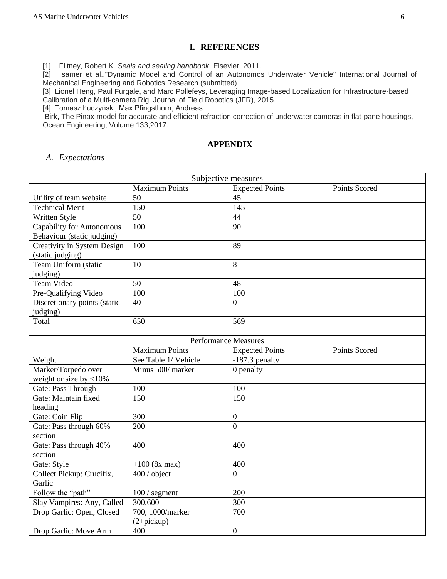## **I. REFERENCES**

[1] Flitney, Robert K. *Seals and sealing handbook*. Elsevier, 2011.

[2] samer et al.,"Dynamic Model and Control of an Autonomos Underwater Vehicle" International Journal of Mechanical Engineering and Robotics Research (submitted)

[3] Lionel Heng, Paul Furgale, and Marc Pollefeys, Leveraging Image-based Localization for Infrastructure-based Calibration of a Multi-camera Rig, Journal of Field Robotics (JFR), 2015.

[4] Tomasz Łuczyński, Max Pfingsthorn, Andreas

Birk, The Pinax-model for accurate and efficient refraction correction of underwater cameras in flat-pane housings, Ocean Engineering, Volume 133,2017.

## **APPENDIX**

#### *A. Expectations*

| Subjective measures              |                       |                             |               |  |
|----------------------------------|-----------------------|-----------------------------|---------------|--|
|                                  | <b>Maximum Points</b> | <b>Expected Points</b>      | Points Scored |  |
| Utility of team website          | 50                    | 45                          |               |  |
| <b>Technical Merit</b>           | 150                   | 145                         |               |  |
| Written Style                    | $\overline{50}$       | 44                          |               |  |
| <b>Capability for Autonomous</b> | 100                   | 90                          |               |  |
| Behaviour (static judging)       |                       |                             |               |  |
| Creativity in System Design      | 100                   | 89                          |               |  |
| (static judging)                 |                       |                             |               |  |
| Team Uniform (static             | 10                    | 8                           |               |  |
| judging)                         |                       |                             |               |  |
| Team Video                       | 50                    | 48                          |               |  |
| Pre-Qualifying Video             | 100                   | 100                         |               |  |
| Discretionary points (static     | 40                    | $\theta$                    |               |  |
| judging)                         |                       |                             |               |  |
| Total                            | 650                   | 569                         |               |  |
|                                  |                       |                             |               |  |
|                                  |                       | <b>Performance Measures</b> |               |  |
|                                  | <b>Maximum Points</b> | <b>Expected Points</b>      | Points Scored |  |
| Weight                           | See Table 1/ Vehicle  | $-187.3$ penalty            |               |  |
| Marker/Torpedo over              | Minus 500/ marker     | 0 penalty                   |               |  |
| weight or size by $<$ 10%        |                       |                             |               |  |
| Gate: Pass Through               | 100                   | 100                         |               |  |
| Gate: Maintain fixed             | 150                   | 150                         |               |  |
| heading                          |                       |                             |               |  |
| Gate: Coin Flip                  | 300                   | $\mathbf{0}$                |               |  |
| Gate: Pass through 60%           | 200                   | $\overline{0}$              |               |  |
| section                          |                       |                             |               |  |
| Gate: Pass through 40%           | 400                   | 400                         |               |  |
| section                          |                       |                             |               |  |
| Gate: Style                      | $+100$ (8x max)       | 400                         |               |  |
| Collect Pickup: Crucifix,        | 400 / object          | $\overline{0}$              |               |  |
| Garlic                           |                       |                             |               |  |
| Follow the "path"                | $100/$ segment        | 200                         |               |  |
| Slay Vampires: Any, Called       | 300,600               | 300                         |               |  |
| Drop Garlic: Open, Closed        | 700, 1000/marker      | 700                         |               |  |
|                                  | $(2+pickup)$          |                             |               |  |
| Drop Garlic: Move Arm            | 400                   | $\boldsymbol{0}$            |               |  |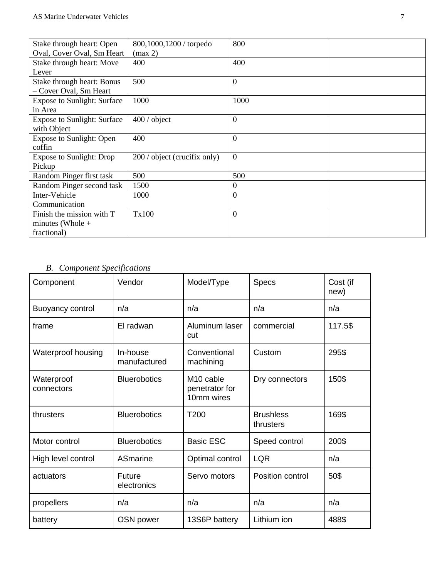| Stake through heart: Open          | 800,1000,1200 / torpedo      | 800            |  |
|------------------------------------|------------------------------|----------------|--|
| Oval, Cover Oval, Sm Heart         | (max 2)                      |                |  |
| Stake through heart: Move          | 400                          | 400            |  |
| Lever                              |                              |                |  |
| Stake through heart: Bonus         | 500                          | $\theta$       |  |
| - Cover Oval, Sm Heart             |                              |                |  |
| <b>Expose to Sunlight: Surface</b> | 1000                         | 1000           |  |
| in Area                            |                              |                |  |
| <b>Expose to Sunlight: Surface</b> | $400/$ object                | $\theta$       |  |
| with Object                        |                              |                |  |
| <b>Expose to Sunlight: Open</b>    | 400                          | $\theta$       |  |
| coffin                             |                              |                |  |
| <b>Expose to Sunlight: Drop</b>    | 200 / object (crucifix only) | $\Omega$       |  |
| Pickup                             |                              |                |  |
| Random Pinger first task           | 500                          | 500            |  |
| Random Pinger second task          | 1500                         | $\Omega$       |  |
| Inter-Vehicle                      | 1000                         | $\overline{0}$ |  |
| Communication                      |                              |                |  |
| Finish the mission with T          | Tx100                        | $\theta$       |  |
| minutes (Whole $+$                 |                              |                |  |
| fractional)                        |                              |                |  |

# *B. Component Specifications*

| Component                | Vendor                   | Model/Type                                            | <b>Specs</b>                  | Cost (if<br>new) |
|--------------------------|--------------------------|-------------------------------------------------------|-------------------------------|------------------|
| Buoyancy control         | n/a                      | n/a                                                   | n/a                           | n/a              |
| frame                    | El radwan                | Aluminum laser<br>cut                                 | commercial                    | 117.5\$          |
| Waterproof housing       | In-house<br>manufactured | Conventional<br>machining                             | Custom                        | 295\$            |
| Waterproof<br>connectors | <b>Bluerobotics</b>      | M <sub>10</sub> cable<br>penetrator for<br>10mm wires | Dry connectors                | 150\$            |
| thrusters                | <b>Bluerobotics</b>      | T200                                                  | <b>Brushless</b><br>thrusters | 169\$            |
| Motor control            | <b>Bluerobotics</b>      | <b>Basic ESC</b>                                      | Speed control                 | 200\$            |
| High level control       | ASmarine                 | Optimal control                                       | <b>LQR</b>                    | n/a              |
| actuators                | Future<br>electronics    | Servo motors                                          | Position control              | 50\$             |
| propellers               | n/a                      | n/a                                                   | n/a                           | n/a              |
| battery                  | OSN power                | 13S6P battery                                         | Lithium ion                   | 488\$            |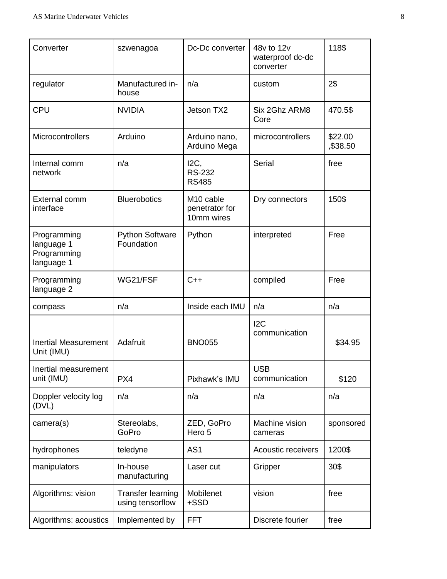| Converter                                              | szwenagoa                                    | Dc-Dc converter                                       | 48v to 12v<br>waterproof dc-dc<br>converter | 118\$               |
|--------------------------------------------------------|----------------------------------------------|-------------------------------------------------------|---------------------------------------------|---------------------|
| regulator                                              | Manufactured in-<br>house                    | n/a                                                   | custom                                      | 2\$                 |
| <b>CPU</b>                                             | <b>NVIDIA</b>                                | Jetson TX2                                            | Six 2Ghz ARM8<br>Core                       | 470.5\$             |
| Microcontrollers                                       | Arduino                                      | Arduino nano,<br>Arduino Mega                         | microcontrollers                            | \$22.00<br>,\$38.50 |
| Internal comm<br>network                               | n/a                                          | $I2C$ ,<br><b>RS-232</b><br><b>RS485</b>              | <b>Serial</b>                               | free                |
| External comm<br>interface                             | <b>Bluerobotics</b>                          | M <sub>10</sub> cable<br>penetrator for<br>10mm wires | Dry connectors                              | 150\$               |
| Programming<br>language 1<br>Programming<br>language 1 | <b>Python Software</b><br>Foundation         | Python                                                | interpreted                                 | Free                |
| Programming<br>language 2                              | WG21/FSF                                     | $C++$                                                 | compiled                                    | Free                |
| compass                                                | n/a                                          | Inside each IMU                                       | n/a                                         | n/a                 |
| <b>Inertial Measurement</b><br>Unit (IMU)              | Adafruit                                     | <b>BNO055</b>                                         | 12C<br>communication                        | \$34.95             |
| Inertial measurement<br>unit (IMU)                     | PX4                                          | Pixhawk's IMU                                         | <b>USB</b><br>communication                 | \$120               |
| Doppler velocity log<br>(DVL)                          | n/a                                          | n/a                                                   | n/a                                         | n/a                 |
| camera(s)                                              | Stereolabs,<br>GoPro                         | ZED, GoPro<br>Hero 5                                  | Machine vision<br>cameras                   | sponsored           |
| hydrophones                                            | teledyne                                     | AS <sub>1</sub>                                       | Acoustic receivers                          | 1200\$              |
| manipulators                                           | In-house<br>manufacturing                    | Laser cut                                             | Gripper                                     | 30\$                |
| Algorithms: vision                                     | <b>Transfer learning</b><br>using tensorflow | Mobilenet<br>+SSD                                     | vision                                      | free                |
| Algorithms: acoustics                                  | Implemented by                               | <b>FFT</b>                                            | Discrete fourier                            | free                |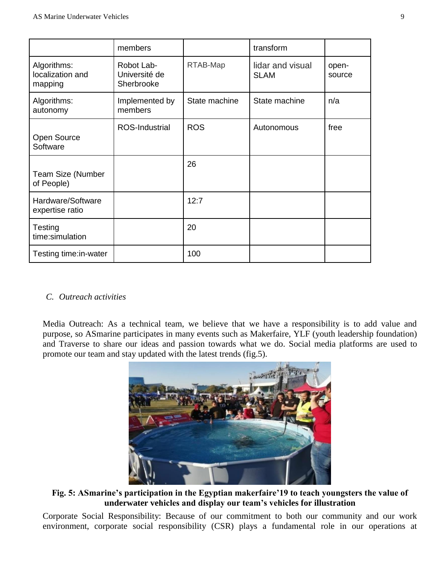|                                            | members                                   |               | transform                       |                 |
|--------------------------------------------|-------------------------------------------|---------------|---------------------------------|-----------------|
| Algorithms:<br>localization and<br>mapping | Robot Lab-<br>Université de<br>Sherbrooke | RTAB-Map      | lidar and visual<br><b>SLAM</b> | open-<br>source |
| Algorithms:<br>autonomy                    | Implemented by<br>members                 | State machine | State machine                   | n/a             |
| Open Source<br>Software                    | <b>ROS-Industrial</b>                     | <b>ROS</b>    | Autonomous                      | free            |
| <b>Team Size (Number</b><br>of People)     |                                           | 26            |                                 |                 |
| Hardware/Software<br>expertise ratio       |                                           | 12:7          |                                 |                 |
| Testing<br>time:simulation                 |                                           | 20            |                                 |                 |
| Testing time: in-water                     |                                           | 100           |                                 |                 |

# *C. Outreach activities*

Media Outreach: As a technical team, we believe that we have a responsibility is to add value and purpose, so ASmarine participates in many events such as Makerfaire, YLF (youth leadership foundation) and Traverse to share our ideas and passion towards what we do. Social media platforms are used to promote our team and stay updated with the latest trends (fig.5).



**Fig. 5: ASmarine's participation in the Egyptian makerfaire'19 to teach youngsters the value of underwater vehicles and display our team's vehicles for illustration**

Corporate Social Responsibility: Because of our commitment to both our community and our work environment, corporate social responsibility (CSR) plays a fundamental role in our operations at